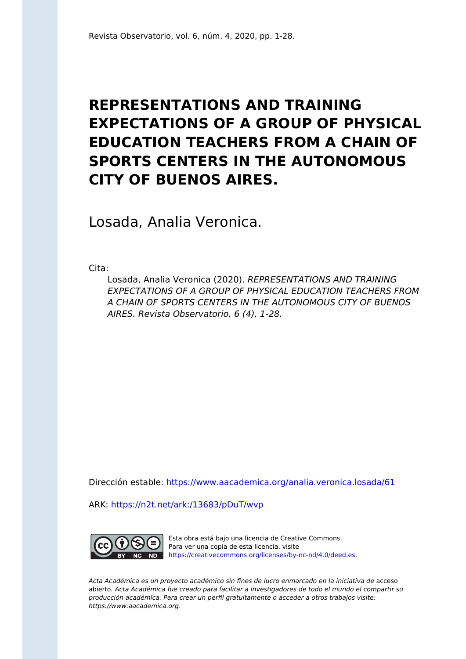# **REPRESENTATIONS AND TRAINING EXPECTATIONS OF A GROUP OF PHYSICAL EDUCATION TEACHERS FROM A CHAIN OF SPORTS CENTERS IN THE AUTONOMOUS CITY OF BUENOS AIRES.**

Losada, Analia Veronica.

Cita:

Losada, Analia Veronica (2020). REPRESENTATIONS AND TRAINING EXPECTATIONS OF A GROUP OF PHYSICAL EDUCATION TEACHERS FROM A CHAIN OF SPORTS CENTERS IN THE AUTONOMOUS CITY OF BUENOS AIRES. Revista Observatorio, 6 (4), 1-28.

Dirección estable:<https://www.aacademica.org/analia.veronica.losada/61>

ARK: <https://n2t.net/ark:/13683/pDuT/wvp>



Esta obra está bajo una licencia de Creative Commons. Para ver una copia de esta licencia, visite [https://creativecommons.org/licenses/by-nc-nd/4.0/deed.es.](https://creativecommons.org/licenses/by-nc-nd/4.0/deed.es)

Acta Académica es un proyecto académico sin fines de lucro enmarcado en la iniciativa de acceso abierto. Acta Académica fue creado para facilitar a investigadores de todo el mundo el compartir su producción académica. Para crear un perfil gratuitamente o acceder a otros trabajos visite: https://www.aacademica.org.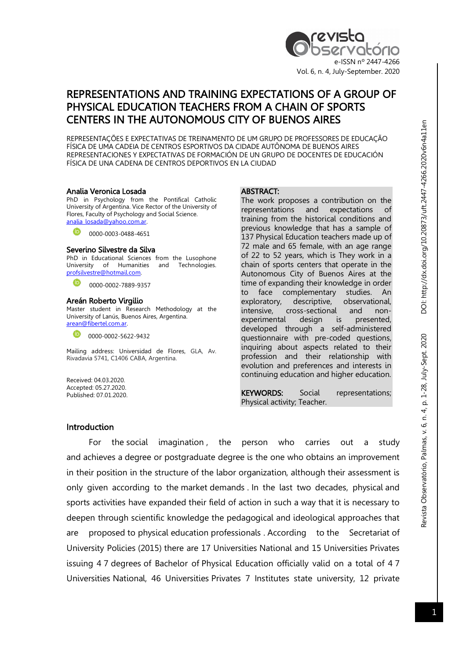

# REPRESENTATIONS AND TRAINING EXPECTATIONS OF A GROUP OF PHYSICAL EDUCATION TEACHERS FROM A CHAIN OF SPORTS CENTERS IN THE AUTONOMOUS CITY OF BUENOS AIRES

REPRESENTAÇÕES E EXPECTATIVAS DE TREINAMENTO DE UM GRUPO DE PROFESSORES DE EDUCAÇÃO FÍSICA DE UMA CADEIA DE CENTROS ESPORTIVOS DA CIDADE AUTÔNOMA DE BUENOS AIRES REPRESENTACIONES Y EXPECTATIVAS DE FORMACIÓN DE UN GRUPO DE DOCENTES DE EDUCACIÓN FÍSICA DE UNA CADENA DE CENTROS DEPORTIVOS EN LA CIUDAD

#### Analia Veronica Losada

PhD in Psychology from the Pontifical Catholic University of Argentina. Vice Rector of the University of Flores, Faculty of Psychology and Social Science. analia\_losada@yahoo.com.ar.

0000-0003-0488-4651

#### Severino Silvestre da Silva

PhD in Educational Sciences from the Lusophone University of Humanities and Technologies. profsilvestre@hotmail.com.

0000-0002-7889-9357

#### Areán Roberto Virgilio

Master student in Research Methodology at the University of Lanús, Buenos Aires, Argentina. arean@fibertel.com.ar.

0000-0002-5622-9432

Mailing address: Universidad de Flores, GLA, Av. Rivadavia 5741, C1406 CABA, Argentina.

Received: 04.03.2020. Accepted: 05.27.2020. Published: 07.01.2020.

#### ABSTRACT:

The work proposes a contribution on the representations and expectations of training from the historical conditions and previous knowledge that has a sample of 137 Physical Education teachers made up of 72 male and 65 female, with an age range of 22 to 52 years, which is They work in a chain of sports centers that operate in the Autonomous City of Buenos Aires at the time of expanding their knowledge in order to face complementary studies. An exploratory, descriptive, observational, intensive, cross-sectional and nonexperimental design is presented, developed through a self-administered questionnaire with pre-coded questions, inquiring about aspects related to their profession and their relationship with evolution and preferences and interests in continuing education and higher education.

KEYWORDS: Social representations; Physical activity; Teacher.

#### Introduction

For the social imagination, the person who carries out a study and achieves a degree or postgraduate degree is the one who obtains an improvement in their position in the structure of the labor organization, although their assessment is only given according to the market demands . In the last two decades, physical and sports activities have expanded their field of action in such a way that it is necessary to deepen through scientific knowledge the pedagogical and ideological approaches that are proposed to physical education professionals . According to the Secretariat of University Policies (2015) there are 17 Universities National and 15 Universities Privates issuing 4 7 degrees of Bachelor of Physical Education officially valid on a total of 4 7 Universities National, 46 Universities Privates 7 Institutes state university, 12 private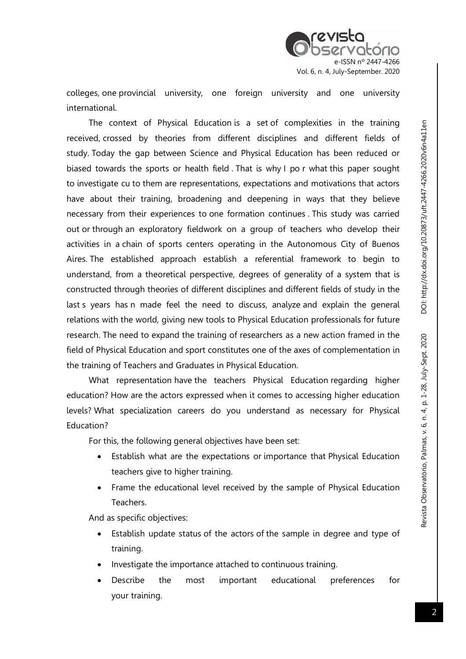

colleges, one provincial university, one foreign university and one university international.

The context of Physical Education is a set of complexities in the training received, crossed by theories from different disciplines and different fields of study. Today the gap between Science and Physical Education has been reduced or biased towards the sports or health field . That is why I po r what this paper sought to investigate cu to them are representations, expectations and motivations that actors have about their training, broadening and deepening in ways that they believe necessary from their experiences to one formation continues . This study was carried out or through an exploratory fieldwork on a group of teachers who develop their activities in a chain of sports centers operating in the Autonomous City of Buenos Aires. The established approach establish a referential framework to begin to understand, from a theoretical perspective, degrees of generality of a system that is constructed through theories of different disciplines and different fields of study in the last s years has n made feel the need to discuss, analyze and explain the general relations with the world, giving new tools to Physical Education professionals for future research. The need to expand the training of researchers as a new action framed in the field of Physical Education and sport constitutes one of the axes of complementation in the training of Teachers and Graduates in Physical Education.

What representation have the teachers Physical Education regarding higher education? How are the actors expressed when it comes to accessing higher education levels? What specialization careers do you understand as necessary for Physical Education?

For this, the following general objectives have been set:

- Establish what are the expectations or importance that Physical Education teachers give to higher training.
- Frame the educational level received by the sample of Physical Education Teachers.

And as specific objectives:

- Establish update status of the actors of the sample in degree and type of training.
- Investigate the importance attached to continuous training.
- Describe the most important educational preferences for your training.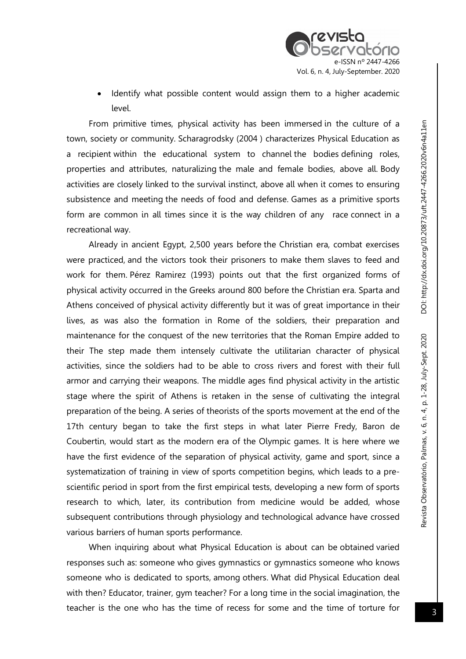Identify what possible content would assign them to a higher academic level.

From primitive times, physical activity has been immersed in the culture of a town, society or community. Scharagrodsky (2004 ) characterizes Physical Education as a recipient within the educational system to channel the bodies defining roles, properties and attributes, naturalizing the male and female bodies, above all. Body activities are closely linked to the survival instinct, above all when it comes to ensuring subsistence and meeting the needs of food and defense. Games as a primitive sports form are common in all times since it is the way children of any race connect in a recreational way.

Already in ancient Egypt, 2,500 years before the Christian era, combat exercises were practiced, and the victors took their prisoners to make them slaves to feed and work for them. Pérez Ramirez (1993) points out that the first organized forms of physical activity occurred in the Greeks around 800 before the Christian era. Sparta and Athens conceived of physical activity differently but it was of great importance in their lives, as was also the formation in Rome of the soldiers, their preparation and maintenance for the conquest of the new territories that the Roman Empire added to their The step made them intensely cultivate the utilitarian character of physical activities, since the soldiers had to be able to cross rivers and forest with their full armor and carrying their weapons. The middle ages find physical activity in the artistic stage where the spirit of Athens is retaken in the sense of cultivating the integral preparation of the being. A series of theorists of the sports movement at the end of the 17th century began to take the first steps in what later Pierre Fredy, Baron de Coubertin, would start as the modern era of the Olympic games. It is here where we have the first evidence of the separation of physical activity, game and sport, since a systematization of training in view of sports competition begins, which leads to a prescientific period in sport from the first empirical tests, developing a new form of sports research to which, later, its contribution from medicine would be added, whose subsequent contributions through physiology and technological advance have crossed various barriers of human sports performance.

When inquiring about what Physical Education is about can be obtained varied responses such as: someone who gives gymnastics or gymnastics someone who knows someone who is dedicated to sports, among others. What did Physical Education deal with then? Educator, trainer, gym teacher? For a long time in the social imagination, the teacher is the one who has the time of recess for some and the time of torture for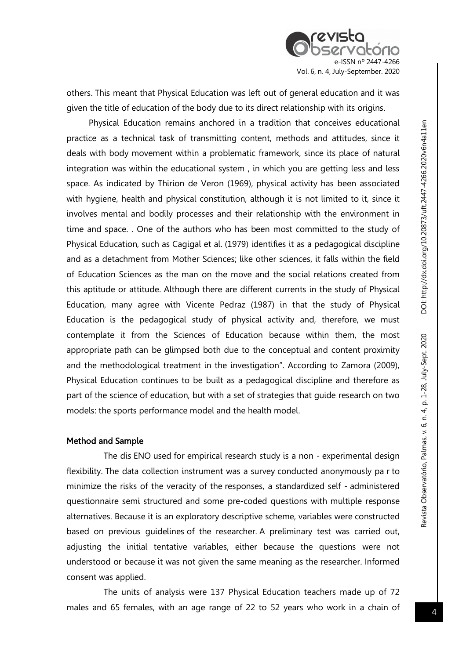others. This meant that Physical Education was left out of general education and it was given the title of education of the body due to its direct relationship with its origins.

Physical Education remains anchored in a tradition that conceives educational practice as a technical task of transmitting content, methods and attitudes, since it deals with body movement within a problematic framework, since its place of natural integration was within the educational system , in which you are getting less and less space. As indicated by Thirion de Veron (1969), physical activity has been associated with hygiene, health and physical constitution, although it is not limited to it, since it involves mental and bodily processes and their relationship with the environment in time and space. . One of the authors who has been most committed to the study of Physical Education, such as Cagigal et al. (1979) identifies it as a pedagogical discipline and as a detachment from Mother Sciences; like other sciences, it falls within the field of Education Sciences as the man on the move and the social relations created from this aptitude or attitude. Although there are different currents in the study of Physical Education, many agree with Vicente Pedraz (1987) in that the study of Physical Education is the pedagogical study of physical activity and, therefore, we must contemplate it from the Sciences of Education because within them, the most appropriate path can be glimpsed both due to the conceptual and content proximity and the methodological treatment in the investigation". According to Zamora (2009), Physical Education continues to be built as a pedagogical discipline and therefore as part of the science of education, but with a set of strategies that guide research on two models: the sports performance model and the health model.

## Method and Sample

The dis ENO used for empirical research study is a non - experimental design flexibility. The data collection instrument was a survey conducted anonymously pa r to minimize the risks of the veracity of the responses, a standardized self - administered questionnaire semi structured and some pre-coded questions with multiple response alternatives. Because it is an exploratory descriptive scheme, variables were constructed based on previous guidelines of the researcher. A preliminary test was carried out, adjusting the initial tentative variables, either because the questions were not understood or because it was not given the same meaning as the researcher. Informed consent was applied.

The units of analysis were 137 Physical Education teachers made up of 72 males and 65 females, with an age range of 22 to 52 years who work in a chain of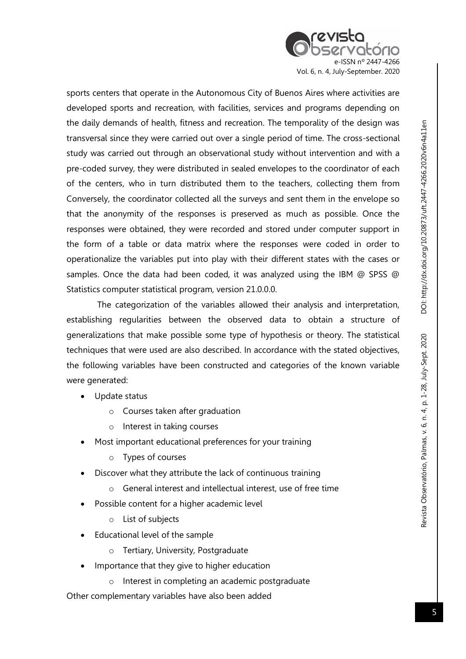

sports centers that operate in the Autonomous City of Buenos Aires where activities are developed sports and recreation, with facilities, services and programs depending on the daily demands of health, fitness and recreation. The temporality of the design was transversal since they were carried out over a single period of time. The cross-sectional study was carried out through an observational study without intervention and with a pre-coded survey, they were distributed in sealed envelopes to the coordinator of each of the centers, who in turn distributed them to the teachers, collecting them from Conversely, the coordinator collected all the surveys and sent them in the envelope so that the anonymity of the responses is preserved as much as possible. Once the responses were obtained, they were recorded and stored under computer support in the form of a table or data matrix where the responses were coded in order to operationalize the variables put into play with their different states with the cases or samples. Once the data had been coded, it was analyzed using the IBM @ SPSS @ Statistics computer statistical program, version 21.0.0.0.

 The categorization of the variables allowed their analysis and interpretation, establishing regularities between the observed data to obtain a structure of generalizations that make possible some type of hypothesis or theory. The statistical techniques that were used are also described. In accordance with the stated objectives, the following variables have been constructed and categories of the known variable were generated:

- Update status
	- o Courses taken after graduation
	- o Interest in taking courses
- Most important educational preferences for your training
	- o Types of courses
- Discover what they attribute the lack of continuous training
	- o General interest and intellectual interest, use of free time
- Possible content for a higher academic level
	- o List of subjects
- Educational level of the sample
	- o Tertiary, University, Postgraduate
- Importance that they give to higher education
	- o Interest in completing an academic postgraduate

Other complementary variables have also been added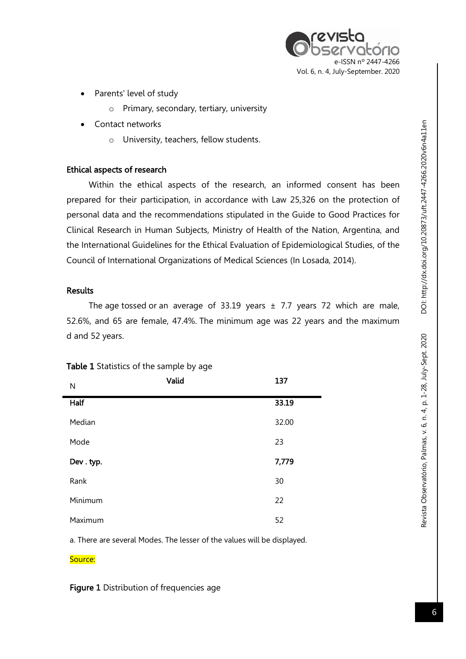

- Parents' level of study
	- o Primary, secondary, tertiary, university
- Contact networks
	- o University, teachers, fellow students.

## Ethical aspects of research

Within the ethical aspects of the research, an informed consent has been prepared for their participation, in accordance with Law 25,326 on the protection of personal data and the recommendations stipulated in the Guide to Good Practices for Clinical Research in Human Subjects, Ministry of Health of the Nation, Argentina, and the International Guidelines for the Ethical Evaluation of Epidemiological Studies, of the Council of International Organizations of Medical Sciences (In Losada, 2014).

## **Results**

The age tossed or an average of 33.19 years  $\pm$  7.7 years 72 which are male, 52.6%, and 65 are female, 47.4%. The minimum age was 22 years and the maximum d and 52 years.

| $\mathsf{N}$ | Valid | 137   |
|--------------|-------|-------|
| Half         |       | 33.19 |
| Median       |       | 32.00 |
| Mode         |       | 23    |
| Dev. typ.    |       | 7,779 |
| Rank         |       | 30    |
| Minimum      |       | 22    |
| Maximum      |       | 52    |

## Table 1 Statistics of the sample by age

a. There are several Modes. The lesser of the values will be displayed.

Source:

Figure 1 Distribution of frequencies age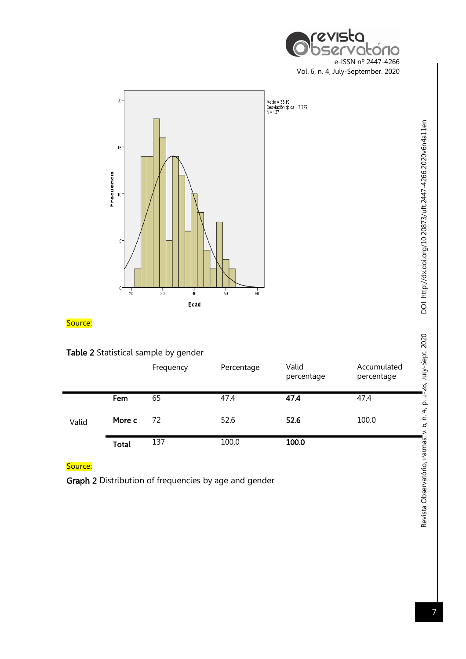



# Table 2 Statistical sample by gender

|       |        | Frequency | Percentage | Valid<br>percentage | Accumulated<br>percentage |
|-------|--------|-----------|------------|---------------------|---------------------------|
|       | Fem    | 65        | 47.4       | 47.4                | 47.4                      |
| Valid | More c | 72        | 52.6       | 52.6                | 100.0                     |
|       | Total  | 137       | 100.0      | 100.0               |                           |

## Source:

Graph 2 Distribution of frequencies by age and gender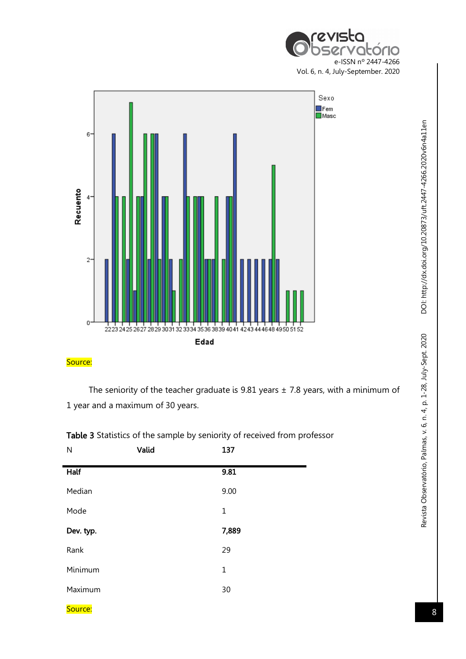



The seniority of the teacher graduate is 9.81 years  $\pm$  7.8 years, with a minimum of 1 year and a maximum of 30 years.

| N         | Valid | 137          |
|-----------|-------|--------------|
| Half      |       | 9.81         |
| Median    |       | 9.00         |
| Mode      |       | $\mathbf 1$  |
| Dev. typ. |       | 7,889        |
| Rank      |       | 29           |
| Minimum   |       | $\mathbf{1}$ |
| Maximum   |       | 30           |
|           |       |              |

Table 3 Statistics of the sample by seniority of received from professor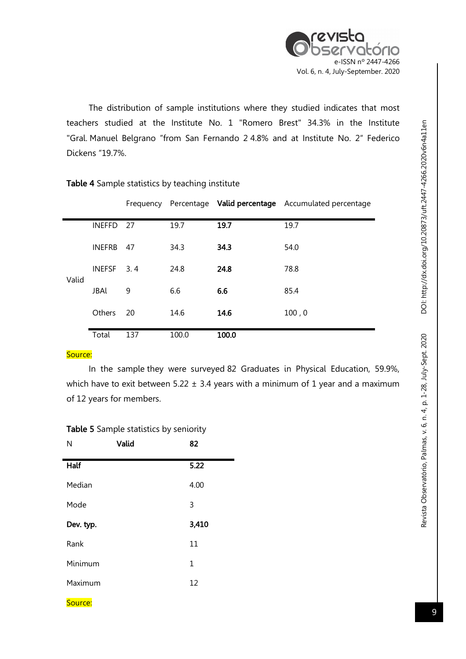

The distribution of sample institutions where they studied indicates that most teachers studied at the Institute No. 1 "Romero Brest" 34.3% in the Institute "Gral. Manuel Belgrano "from San Fernando 2 4.8% and at Institute No. 2" Federico Dickens "19.7%.

|       |               |     |       | Frequency Percentage Valid percentage | Accumulated percentage |
|-------|---------------|-----|-------|---------------------------------------|------------------------|
|       | <b>INEFFD</b> | -27 | 19.7  | 19.7                                  | 19.7                   |
| Valid | <b>INEFRB</b> | -47 | 34.3  | 34.3                                  | 54.0                   |
|       | <b>INEFSF</b> | 3.4 | 24.8  | 24.8                                  | 78.8                   |
|       | JBAl          | 9   | 6.6   | 6.6                                   | 85.4                   |
|       | <b>Others</b> | 20  | 14.6  | 14.6                                  | 100, 0                 |
|       | Total         | 137 | 100.0 | 100.0                                 |                        |

#### Table 4 Sample statistics by teaching institute

#### Source:

In the sample they were surveyed 82 Graduates in Physical Education, 59.9%, which have to exit between 5.22  $\pm$  3.4 years with a minimum of 1 year and a maximum of 12 years for members.

#### Table 5 Sample statistics by seniority

| N           | Valid | 82    |
|-------------|-------|-------|
| <b>Half</b> |       | 5.22  |
| Median      |       | 4.00  |
| Mode        |       | 3     |
| Dev. typ.   |       | 3,410 |
| Rank        |       | 11    |
| Minimum     |       | 1     |
| Maximum     |       | 12    |
| Source:     |       |       |

DOI: http://dx.doi.org/10.20873/uft.2447-4266.2020v6n4a11en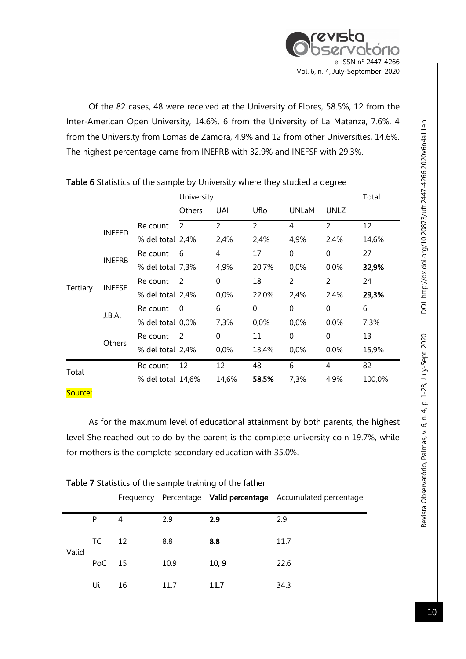

Of the 82 cases, 48 were received at the University of Flores, 58.5%, 12 from the Inter-American Open University, 14.6%, 6 from the University of La Matanza, 7.6%, 4 from the University from Lomas de Zamora, 4.9% and 12 from other Universities, 14.6%. The highest percentage came from INEFRB with 32.9% and INEFSF with 29.3%.

|          |               |                   | University |              |          |                | Total       |        |
|----------|---------------|-------------------|------------|--------------|----------|----------------|-------------|--------|
|          |               |                   | Others     | UAI          | Uflo     | <b>UNLaM</b>   | <b>UNLZ</b> |        |
|          | <b>INEFFD</b> | Re count          | 2          | 2            | 2        | 4              | 2           | 12     |
|          |               | % del total 2,4%  |            | 2,4%         | 2,4%     | 4,9%           | 2,4%        | 14,6%  |
|          | <b>INEFRB</b> | Re count          | 6          | 4            | 17       | $\Omega$       | $\Omega$    | 27     |
|          |               | % del total 7,3%  |            | 4,9%         | 20,7%    | 0,0%           | 0,0%        | 32,9%  |
|          | <b>INEFSF</b> | Re count          | 2          | $\mathbf{0}$ | 18       | $\mathfrak{D}$ | 2           | 24     |
| Tertiary |               | % del total 2,4%  |            | 0,0%         | 22,0%    | 2,4%           | 2,4%        | 29,3%  |
|          |               | Re count          | $\Omega$   | 6            | $\Omega$ | $\Omega$       | 0           | 6      |
|          | J.B.Al        | % del total 0,0%  |            | 7,3%         | 0,0%     | 0,0%           | 0,0%        | 7,3%   |
|          |               | Re count          | 2          | $\mathbf{0}$ | 11       | $\Omega$       | $\Omega$    | 13     |
|          | Others        | % del total 2,4%  |            | 0,0%         | 13,4%    | 0,0%           | 0,0%        | 15,9%  |
| Total    |               | Re count          | 12         | 12           | 48       | 6              | 4           | 82     |
|          |               | % del total 14,6% |            | 14,6%        | 58,5%    | 7,3%           | 4,9%        | 100,0% |

## Table 6 Statistics of the sample by University where they studied a degree

#### Source:

As for the maximum level of educational attainment by both parents, the highest level She reached out to do by the parent is the complete university co n 19.7%, while for mothers is the complete secondary education with 35.0%.

|             |        |     |      |       | Frequency Percentage Valid percentage Accumulated percentage |
|-------------|--------|-----|------|-------|--------------------------------------------------------------|
|             | PI     | 4   | 2.9  | 2.9   | 2.9                                                          |
| TC<br>Valid | 12     | 8.8 | 8.8  | 11.7  |                                                              |
|             | PoC 15 |     | 10.9 | 10, 9 | 22.6                                                         |
|             | Uί     | 16  | 11.7 | 11.7  | 34.3                                                         |

## Table 7 Statistics of the sample training of the father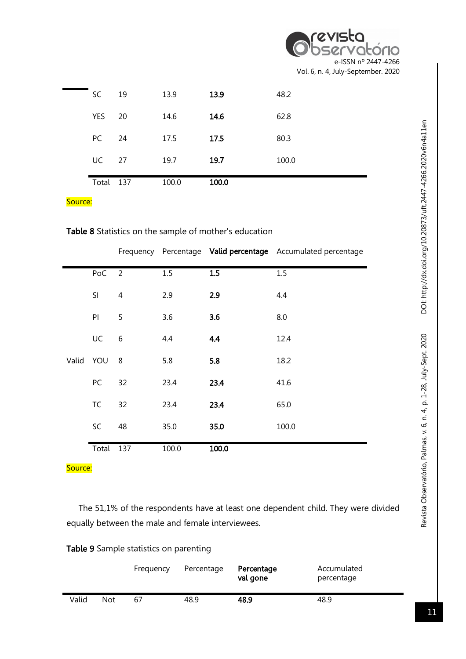| Observatório                       |
|------------------------------------|
|                                    |
| e-ISSN nº 2447-4266                |
| Vol. 6, n. 4, July-September. 2020 |

| Total | 137 | 100.0 | 100.0 |       |
|-------|-----|-------|-------|-------|
| UC    | 27  | 19.7  | 19.7  | 100.0 |
| PC    | 24  | 17.5  | 17.5  | 80.3  |
| YES   | 20  | 14.6  | 14.6  | 62.8  |
| SC    | 19  | 13.9  | 13.9  | 48.2  |
|       |     |       |       |       |

|  |  | Table 8 Statistics on the sample of mother's education |
|--|--|--------------------------------------------------------|
|--|--|--------------------------------------------------------|

|           |           |                |       |       | Frequency Percentage Valid percentage Accumulated percentage |
|-----------|-----------|----------------|-------|-------|--------------------------------------------------------------|
|           | PoC       | $\overline{2}$ | 1.5   | 1.5   | 1.5                                                          |
|           | SI        | 4              | 2.9   | 2.9   | 4.4                                                          |
|           | PI        | 5              | 3.6   | 3.6   | 8.0                                                          |
|           | UC        | 6              | 4.4   | 4.4   | 12.4                                                         |
| Valid YOU |           | 8              | 5.8   | 5.8   | 18.2                                                         |
|           | PC        | 32             | 23.4  | 23.4  | 41.6                                                         |
|           | <b>TC</b> | 32             | 23.4  | 23.4  | 65.0                                                         |
|           | SC        | 48             | 35.0  | 35.0  | 100.0                                                        |
|           | Total     | 137            | 100.0 | 100.0 |                                                              |

Source:

 The 51,1% of the respondents have at least one dependent child. They were divided equally between the male and female interviewees.

Table 9 Sample statistics on parenting

|       |     | Frequency | Percentage | Percentage<br>val gone | Accumulated<br>percentage |  |
|-------|-----|-----------|------------|------------------------|---------------------------|--|
| Valid | Not | 67        | 48.9       | 48.9                   | 48.9                      |  |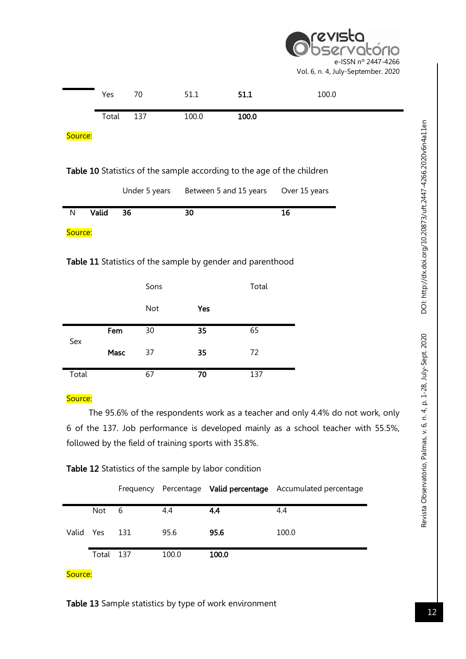torio e-ISSN nº 2447-4266 Vol. 6, n. 4, July-September. 2020

|         | Yes   | 70            | 51.1  | 51.1                                                                          | 100.0         |
|---------|-------|---------------|-------|-------------------------------------------------------------------------------|---------------|
|         | Total | 137           | 100.0 | 100.0                                                                         |               |
| Source: |       |               |       |                                                                               |               |
|         |       |               |       | <b>Table 10</b> Statistics of the sample according to the age of the children |               |
|         |       | Under 5 years |       | Between 5 and 15 years                                                        | Over 15 years |
| N       | Valid | 36            | 30    |                                                                               | 16            |
| Source: |       |               |       |                                                                               |               |
|         |       |               |       |                                                                               |               |

## Table 11 Statistics of the sample by gender and parenthood

|       |      | Sons |     | Total |
|-------|------|------|-----|-------|
|       |      | Not  | Yes |       |
| Sex   | Fem  | 30   | 35  | 65    |
|       | Masc | 37   | 35  | 72    |
| Total |      | 67   | 70  | 137   |

# Source:

The 95.6% of the respondents work as a teacher and only 4.4% do not work, only 6 of the 137. Job performance is developed mainly as a school teacher with 55.5%, followed by the field of training sports with 35.8%.

# Table 12 Statistics of the sample by labor condition

|           |       | Frequency |       |       | Percentage Valid percentage Accumulated percentage |
|-----------|-------|-----------|-------|-------|----------------------------------------------------|
|           | Not   | 6         | 4.4   | 4.4   | 4.4                                                |
| Valid Yes |       | 131       | 95.6  | 95.6  | 100.0                                              |
|           | Total | 137       | 100.0 | 100.0 |                                                    |

## Source:

Table 13 Sample statistics by type of work environment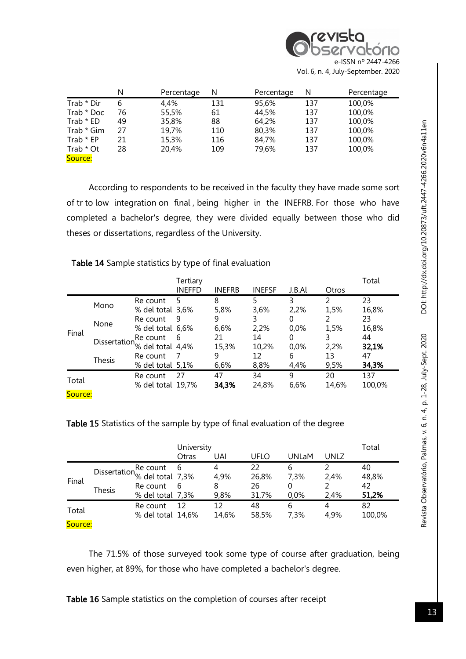|            | N  | Percentage | N   | Percentage | N   | Percentage |
|------------|----|------------|-----|------------|-----|------------|
| Trab * Dir | 6  | 4.4%       | 131 | 95,6%      | 137 | 100,0%     |
| Trab * Doc | 76 | 55,5%      | 61  | 44,5%      | 137 | 100,0%     |
| Trab * ED  | 49 | 35,8%      | 88  | 64,2%      | 137 | 100,0%     |
| Trab * Gim | 27 | 19,7%      | 110 | 80,3%      | 137 | 100,0%     |
| Trab * EP  | 21 | 15,3%      | 116 | 84,7%      | 137 | 100,0%     |
| Trab * Ot  | 28 | 20,4%      | 109 | 79,6%      | 137 | 100,0%     |
| Source:    |    |            |     |            |     |            |

According to respondents to be received in the faculty they have made some sort of tr to low integration on final , being higher in the INEFRB. For those who have completed a bachelor's degree, they were divided equally between those who did theses or dissertations, regardless of the University.

Table 14 Sample statistics by type of final evaluation

|                  |               |                                                                                           | Tertiary<br><b>INEFFD</b> | <b>INEFRB</b>            | <b>INEFSF</b>             | J.B.Al                             | Otros                   | Total                      |
|------------------|---------------|-------------------------------------------------------------------------------------------|---------------------------|--------------------------|---------------------------|------------------------------------|-------------------------|----------------------------|
|                  | Mono<br>None  | Re count<br>% del total 3,6%<br>Re count<br>% del total 6,6%                              | 5<br>q                    | 8<br>5,8%<br>9<br>6,6%   | 5<br>3,6%<br>3<br>2,2%    | 3<br>2,2%<br>$\mathcal{O}$<br>0,0% | C<br>1,5%<br>1,5%       | 23<br>16,8%<br>23<br>16,8% |
| Final            | <b>Thesis</b> | Re count<br>Dissertation <sup>1</sup> % del total $4,4\%$<br>Re count<br>% del total 5,1% | 6                         | 21<br>15,3%<br>9<br>6,6% | 14<br>10,2%<br>12<br>8,8% | $\mathcal{O}$<br>0,0%<br>6<br>4,4% | 3<br>2,2%<br>13<br>9,5% | 44<br>32,1%<br>47<br>34,3% |
| Total<br>Source: |               | Re count<br>% del total 19,7%                                                             | 27                        | 47<br>34,3%              | 34<br>24,8%               | 9<br>6,6%                          | 20<br>14,6%             | 137<br>100,0%              |

Table 15 Statistics of the sample by type of final evaluation of the degree

|         |               |                                                                                        | University<br>Otras | UAI                    | UFLO                       | <b>UNLaM</b>      | <b>UNLZ</b>  | Total                      |
|---------|---------------|----------------------------------------------------------------------------------------|---------------------|------------------------|----------------------------|-------------------|--------------|----------------------------|
| Final   | <b>Thesis</b> | Dissertation <sup>Re</sup> count 6<br>% del total 7,3%<br>Re count<br>% del total 7,3% | 6                   | 4<br>4,9%<br>8<br>9,8% | 22<br>26,8%<br>26<br>31,7% | 6<br>7,3%<br>0.0% | 2,4%<br>2,4% | 40<br>48,8%<br>42<br>51,2% |
| Total   |               | Re count<br>% del total 14,6%                                                          | 12                  | 12<br>14,6%            | 48<br>58,5%                | 6<br>7,3%         | 4<br>4,9%    | 82<br>100,0%               |
| Source: |               |                                                                                        |                     |                        |                            |                   |              |                            |

The 71.5% of those surveyed took some type of course after graduation, being even higher, at 89%, for those who have completed a bachelor's degree.

Table 16 Sample statistics on the completion of courses after receipt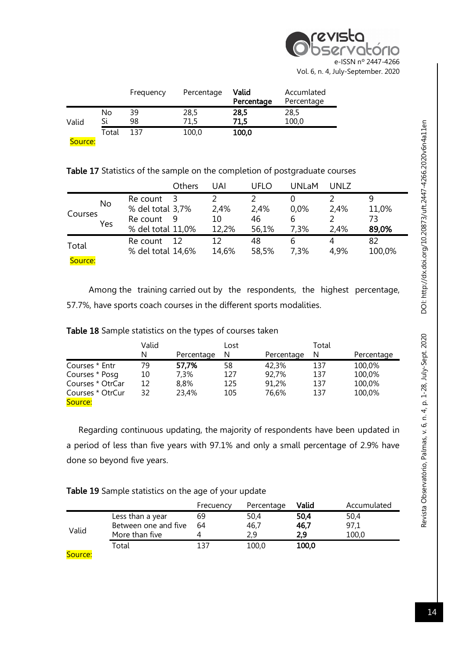

|         |          | Frequency | Percentage   | Valid<br>Percentage | Accumlated<br>Percentage |
|---------|----------|-----------|--------------|---------------------|--------------------------|
| Valid   | No<br>Sί | 39<br>98  | 28,5<br>71.5 | 28,5<br>71,5        | 28,5<br>100,0            |
| Source: | Total    | 137       | 100,0        | 100,0               |                          |

Table 17 Statistics of the sample on the completion of postgraduate courses

|                  |                  |                                                               | Others | UAI                 | UFLO                | <b>UNLaM</b>      | UNLZ         |                      |
|------------------|------------------|---------------------------------------------------------------|--------|---------------------|---------------------|-------------------|--------------|----------------------|
| Courses          | <b>No</b><br>Yes | Re count<br>% del total 3,7%<br>Re count<br>% del total 11,0% | 3<br>9 | 2,4%<br>10<br>12,2% | 2,4%<br>46<br>56,1% | 0.0%<br>6<br>7,3% | 2,4%<br>2,4% | 11,0%<br>73<br>89,0% |
| Total<br>Source: |                  | Re count<br>% del total 14,6%                                 | 12     | 12<br>14,6%         | 48<br>58,5%         | 6<br>7,3%         | 4<br>4,9%    | 82<br>100,0%         |

Among the training carried out by the respondents, the highest percentage, 57.7%, have sports coach courses in the different sports modalities.

|  |  |  | Table 18 Sample statistics on the types of courses taken |
|--|--|--|----------------------------------------------------------|
|--|--|--|----------------------------------------------------------|

|                  | Valid |            | Lost |            | Total |            |
|------------------|-------|------------|------|------------|-------|------------|
|                  | N     | Percentage | N    | Percentage | N     | Percentage |
| Courses * Entr   | 79    | 57,7%      | 58   | 42.3%      | 137   | 100,0%     |
| Courses * Posg   | 10    | 7.3%       | 127  | 92,7%      | 137   | 100,0%     |
| Courses * OtrCar | 12    | 8.8%       | 125  | 91.2%      | 137   | 100,0%     |
| Courses * OtrCur | 32    | 23,4%      | 105  | 76,6%      | 137   | 100,0%     |
| Source:          |       |            |      |            |       |            |

 Regarding continuous updating, the majority of respondents have been updated in a period of less than five years with 97.1% and only a small percentage of 2.9% have done so beyond five years.

| Table 19 Sample statistics on the age of your update |  |  |
|------------------------------------------------------|--|--|
|------------------------------------------------------|--|--|

|        |                      | Frecuency | Percentage | Valid | Accumulated |
|--------|----------------------|-----------|------------|-------|-------------|
|        | Less than a year     | 69        | 50,4       | 50.4  | 50,4        |
|        | Between one and five | 64        | 46,7       | 46,7  | 97,1        |
| Valid  | More than five       |           | 2.9        | 2.9   | 100,0       |
|        | Total                | 137       | 100,0      | 100,0 |             |
| $\sim$ |                      |           |            |       |             |

Source: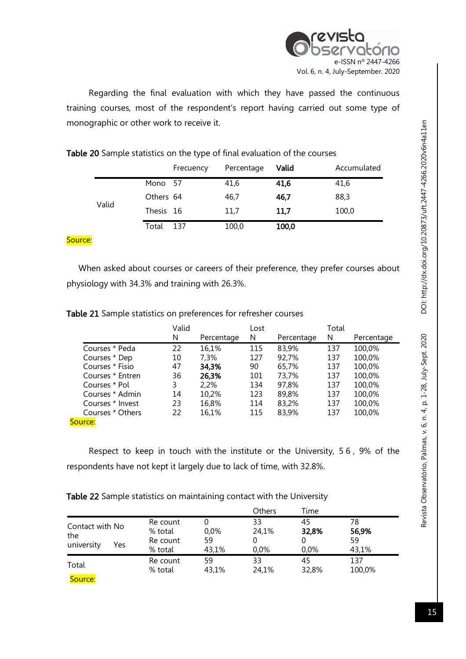

Regarding the final evaluation with which they have passed the continuous training courses, most of the respondent's report having carried out some type of monographic or other work to receive it.

Table 20 Sample statistics on the type of final evaluation of the courses

|       |           | Frecuency | Percentage | Valid | Accumulated |
|-------|-----------|-----------|------------|-------|-------------|
|       | Mono 57   |           | 41,6       | 41,6  | 41,6        |
|       | Others 64 |           | 46,7       | 46,7  | 88,3        |
| Valid | Thesis 16 |           | 11,7       | 11,7  | 100,0       |
|       | Total     | 137       | 100,0      | 100,0 |             |

#### Source:

 When asked about courses or careers of their preference, they prefer courses about physiology with 34.3% and training with 26.3%.

| Table 21 Sample statistics on preferences for refresher courses |  |  |  |
|-----------------------------------------------------------------|--|--|--|
|-----------------------------------------------------------------|--|--|--|

|                  | Valid |            | Lost |            | Total |            |
|------------------|-------|------------|------|------------|-------|------------|
|                  | N     | Percentage | N    | Percentage | N     | Percentage |
| Courses * Peda   | 22    | 16,1%      | 115  | 83,9%      | 137   | 100,0%     |
| Courses * Dep    | 10    | 7,3%       | 127  | 92,7%      | 137   | 100,0%     |
| Courses * Fisio  | 47    | 34,3%      | 90   | 65,7%      | 137   | 100,0%     |
| Courses * Entren | 36    | 26,3%      | 101  | 73,7%      | 137   | 100,0%     |
| Courses * Pol    | 3     | 2.2%       | 134  | 97.8%      | 137   | 100,0%     |
| Courses * Admin  | 14    | 10,2%      | 123  | 89,8%      | 137   | 100,0%     |
| Courses * Invest | 23    | 16,8%      | 114  | 83,2%      | 137   | 100,0%     |
| Courses * Others | 22    | 16,1%      | 115  | 83,9%      | 137   | 100,0%     |
| Source:          |       |            |      |            |       |            |

Respect to keep in touch with the institute or the University, 5 6 , 9% of the respondents have not kept it largely due to lack of time, with 32.8%.

| Table 22 Sample statistics on maintaining contact with the University |  |  |  |
|-----------------------------------------------------------------------|--|--|--|
|                                                                       |  |  |  |

|                                             |                                            |                        | Others                 | Time                |                            |  |
|---------------------------------------------|--------------------------------------------|------------------------|------------------------|---------------------|----------------------------|--|
| Contact with No<br>the<br>university<br>Yes | Re count<br>% total<br>Re count<br>% total | $0.0\%$<br>59<br>43,1% | 33<br>24,1%<br>$0.0\%$ | 45<br>32,8%<br>0.0% | 78<br>56,9%<br>59<br>43,1% |  |
| Total<br>Source:                            | Re count<br>% total                        | 59<br>43,1%            | 33<br>24,1%            | 45<br>32,8%         | 137<br>100,0%              |  |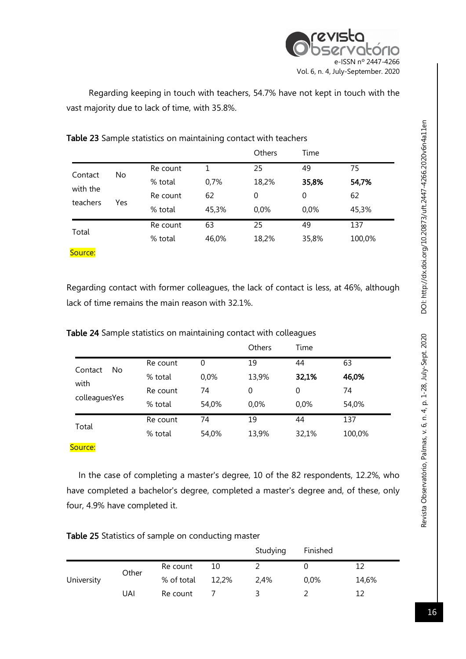

Regarding keeping in touch with teachers, 54.7% have not kept in touch with the vast majority due to lack of time, with 35.8%.

|          |     |          |       | Others   | Time  |        |
|----------|-----|----------|-------|----------|-------|--------|
|          | No  | Re count | 1     | 25       | 49    | 75     |
| Contact  |     | % total  | 0,7%  | 18,2%    | 35,8% | 54,7%  |
| with the | Yes | Re count | 62    | $\Omega$ | 0     | 62     |
| teachers |     | % total  | 45,3% | 0,0%     | 0,0%  | 45,3%  |
|          |     | Re count | 63    | 25       | 49    | 137    |
| Total    |     | % total  | 46,0% | 18,2%    | 35,8% | 100,0% |
| Source:  |     |          |       |          |       |        |

Table 23 Sample statistics on maintaining contact with teachers

Regarding contact with former colleagues, the lack of contact is less, at 46%, although lack of time remains the main reason with 32.1%.

Table 24 Sample statistics on maintaining contact with colleagues

|                |          |       | <b>Others</b> | Time  |        |
|----------------|----------|-------|---------------|-------|--------|
| No.<br>Contact | Re count | 0     | 19            | 44    | 63     |
|                | % total  | 0,0%  | 13,9%         | 32,1% | 46,0%  |
| with           | Re count | 74    | 0             | 0     | 74     |
| colleaguesYes  | % total  | 54,0% | 0,0%          | 0,0%  | 54,0%  |
| Total          | Re count | 74    | 19            | 44    | 137    |
|                | % total  | 54,0% | 13,9%         | 32,1% | 100,0% |

#### Source:

 In the case of completing a master's degree, 10 of the 82 respondents, 12.2%, who have completed a bachelor's degree, completed a master's degree and, of these, only four, 4.9% have completed it.

|            |       |            |       | Studying | Finished |       |
|------------|-------|------------|-------|----------|----------|-------|
|            | Other | Re count   | 10    |          |          |       |
| University |       | % of total | 12,2% | 2,4%     | 0,0%     | 14,6% |
|            | UAI   | Re count   |       |          |          | 12    |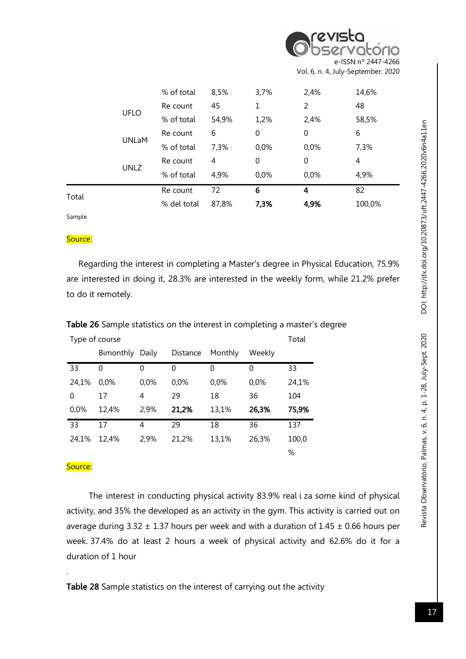| Observatório        |
|---------------------|
|                     |
| e-ISSN nº 2447-4266 |

Vol. 6, n. 4, July-September. 2020

|       |              | % del total | 87,8% | 7,3% | 4,9% | 100,0% |
|-------|--------------|-------------|-------|------|------|--------|
| Total |              | Re count    | 72    | 6    | 4    | 82     |
|       |              | % of total  | 4,9%  | 0,0% | 0,0% | 4,9%   |
|       | <b>UNLZ</b>  | Re count    | 4     | 0    | 0    | 4      |
|       | <b>UNLaM</b> | % of total  | 7,3%  | 0,0% | 0,0% | 7,3%   |
|       |              | Re count    | 6     | 0    | 0    | 6      |
|       |              | % of total  | 54,9% | 1,2% | 2,4% | 58,5%  |
|       | <b>UFLO</b>  | Re count    | 45    | 1    | 2    | 48     |
|       |              | % of total  | 8,5%  | 3,7% | 2,4% | 14,6%  |
|       |              |             |       |      |      |        |

Sample

#### Source:

 Regarding the interest in completing a Master's degree in Physical Education, 75.9% are interested in doing it, 28.3% are interested in the weekly form, while 21.2% prefer to do it remotely.

| Type of course |           |       |          |         |        |       |  |  |
|----------------|-----------|-------|----------|---------|--------|-------|--|--|
|                | Bimonthly | Daily | Distance | Monthly | Weekly |       |  |  |
| 33             | 0         | 0     | 0        | 0       | 0      | 33    |  |  |
| 24,1%          | 0.0%      | 0,0%  | 0,0%     | 0,0%    | 0,0%   | 24,1% |  |  |
| 0              | 17        | 4     | 29       | 18      | 36     | 104   |  |  |
| 0,0%           | 12,4%     | 2,9%  | 21,2%    | 13,1%   | 26,3%  | 75,9% |  |  |
| 33             | 17        | 4     | 29       | 18      | 36     | 137   |  |  |
| 24,1%          | 12.4%     | 2,9%  | 21,2%    | 13,1%   | 26,3%  | 100,0 |  |  |
|                |           |       |          |         |        | %     |  |  |

Table 26 Sample statistics on the interest in completing a master's degree

#### Source:

.

The interest in conducting physical activity 83.9% real i za some kind of physical activity, and 35% the developed as an activity in the gym. This activity is carried out on average during  $3.32 \pm 1.37$  hours per week and with a duration of  $1.45 \pm 0.66$  hours per week. 37.4% do at least 2 hours a week of physical activity and 62.6% do it for a duration of 1 hour

Table 28 Sample statistics on the interest of carrying out the activity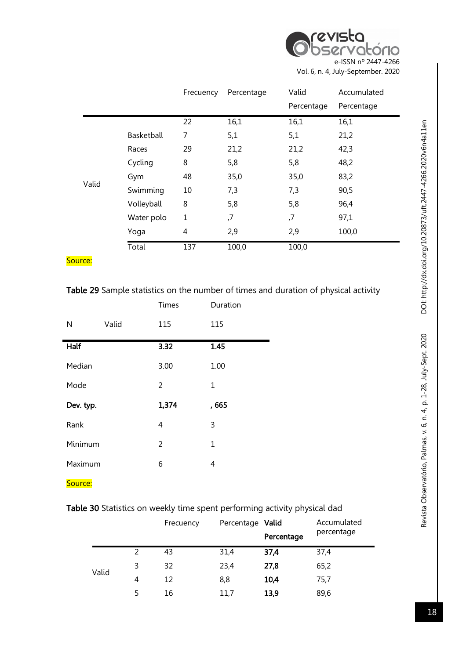

|       |            | Frecuency   | Percentage | Valid      | Accumulated |
|-------|------------|-------------|------------|------------|-------------|
|       |            |             |            | Percentage | Percentage  |
|       |            | 22          | 16,1       | 16,1       | 16,1        |
|       | Basketball | 7           | 5,1        | 5,1        | 21,2        |
|       | Races      | 29          | 21,2       | 21,2       | 42,3        |
|       | Cycling    | 8           | 5,8        | 5,8        | 48,2        |
|       | Gym        | 48          | 35,0       | 35,0       | 83,2        |
| Valid | Swimming   | 10          | 7,3        | 7,3        | 90,5        |
|       | Volleyball | 8           | 5,8        | 5,8        | 96,4        |
|       | Water polo | $\mathbf 1$ | ,7         | ,7         | 97,1        |
|       | Yoga       | 4           | 2,9        | 2,9        | 100,0       |
|       | Total      | 137         | 100,0      | 100,0      |             |

# Table 29 Sample statistics on the number of times and duration of physical activity

|           |       | Times | Duration |
|-----------|-------|-------|----------|
| N         | Valid | 115   | 115      |
| Half      |       | 3.32  | 1.45     |
| Median    |       | 3.00  | 1.00     |
| Mode      |       | 2     | 1        |
| Dev. typ. |       | 1,374 | , 665    |
| Rank      |       | 4     | 3        |
| Minimum   |       | 2     | 1        |
| Maximum   |       | 6     | 4        |

Source:

# Table 30 Statistics on weekly time spent performing activity physical dad

|       |   | Frecuency | Percentage Valid |            | Accumulated |
|-------|---|-----------|------------------|------------|-------------|
|       |   |           |                  | Percentage | percentage  |
|       | 2 | 43        | 31,4             | 37,4       | 37,4        |
| Valid | 3 | 32        | 23,4             | 27,8       | 65,2        |
|       | 4 | 12        | 8,8              | 10,4       | 75,7        |
|       | 5 | 16        | 11,7             | 13,9       | 89,6        |

DOI: http://dx.doi.org/10.20873/uft.2447-4266.2020v6n4a11en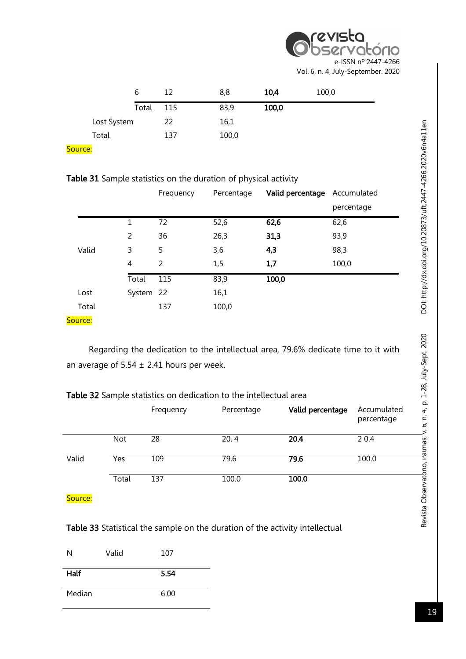# revista ratório e-ISSN nº 2447-4266 Vol. 6, n. 4, July-September. 2020

|       | b           | 12  | 8,8   | 10,4  | 100,0 |
|-------|-------------|-----|-------|-------|-------|
|       | Total       | 115 | 83,9  | 100,0 |       |
|       | Lost System | 22  | 16,1  |       |       |
| Total |             | 137 | 100,0 |       |       |

Source:

|  |  |  | Table 31 Sample statistics on the duration of physical activity |  |  |  |  |  |
|--|--|--|-----------------------------------------------------------------|--|--|--|--|--|
|--|--|--|-----------------------------------------------------------------|--|--|--|--|--|

|       |           | Frequency | Percentage | Valid percentage | Accumulated |
|-------|-----------|-----------|------------|------------------|-------------|
|       |           |           |            |                  | percentage  |
|       | 1         | 72        | 52,6       | 62,6             | 62,6        |
|       | 2         | 36        | 26,3       | 31,3             | 93,9        |
| Valid | 3         | 5         | 3,6        | 4,3              | 98,3        |
|       | 4         | 2         | 1,5        | 1,7              | 100,0       |
|       | Total     | 115       | 83,9       | 100,0            |             |
| Lost  | System 22 |           | 16,1       |                  |             |
| Total |           | 137       | 100,0      |                  |             |

Source:

Regarding the dedication to the intellectual area, 79.6% dedicate time to it with an average of  $5.54 \pm 2.41$  hours per week.

| Table 32 Sample statistics on dedication to the intellectual area |  |  |
|-------------------------------------------------------------------|--|--|
|-------------------------------------------------------------------|--|--|

|       |            | Frequency | Percentage | Valid percentage | Accumulated<br>percentage |
|-------|------------|-----------|------------|------------------|---------------------------|
|       | <b>Not</b> | 28        | 20, 4      | 20.4             | 2 0.4                     |
| Valid | Yes        | 109       | 79.6       | 79.6             | 100.0                     |
|       | Total      | 137       | 100.0      | 100.0            |                           |

Source:

Table 33 Statistical the sample on the duration of the activity intellectual

| N      | Valid | 107  |
|--------|-------|------|
| Half   |       | 5.54 |
| Median |       | 6.00 |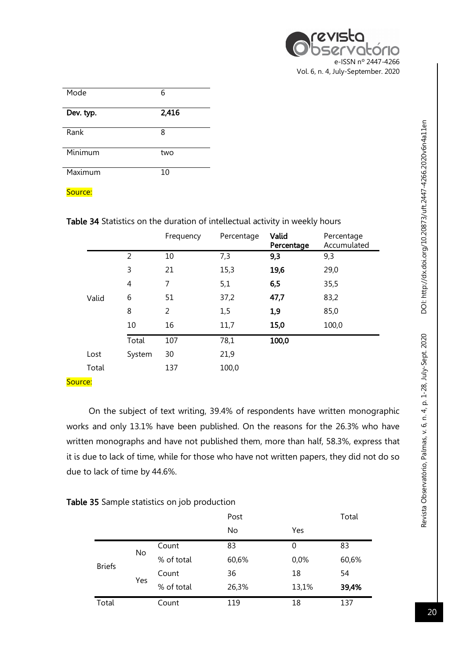| Mode      | 6     |
|-----------|-------|
| Dev. typ. | 2,416 |
| Rank      | 8     |
| Minimum   | two   |
| Maximum   | 10    |

Table 34 Statistics on the duration of intellectual activity in weekly hours

|       |                | Frequency | Percentage | Valid<br>Percentage | Percentage<br>Accumulated |
|-------|----------------|-----------|------------|---------------------|---------------------------|
|       | 2              | 10        | 7,3        | 9,3                 | 9,3                       |
|       | 3              | 21        | 15,3       | 19,6                | 29,0                      |
|       | $\overline{4}$ | 7         | 5,1        | 6,5                 | 35,5                      |
| Valid | 6              | 51        | 37,2       | 47,7                | 83,2                      |
|       | 8              | 2         | 1,5        | 1,9                 | 85,0                      |
|       | 10             | 16        | 11,7       | 15,0                | 100,0                     |
|       | Total          | 107       | 78,1       | 100,0               |                           |
| Lost  | System         | 30        | 21,9       |                     |                           |
| Total |                | 137       | 100,0      |                     |                           |

## Source:

On the subject of text writing, 39.4% of respondents have written monographic works and only 13.1% have been published. On the reasons for the 26.3% who have written monographs and have not published them, more than half, 58.3%, express that it is due to lack of time, while for those who have not written papers, they did not do so due to lack of time by 44.6%.

|  |  |  |  |  | Table 35 Sample statistics on job production |
|--|--|--|--|--|----------------------------------------------|
|--|--|--|--|--|----------------------------------------------|

|               |     |            | Post  |       | Total |
|---------------|-----|------------|-------|-------|-------|
|               |     |            | No    | Yes   |       |
|               | No  | Count      | 83    | 0     | 83    |
| <b>Briefs</b> |     | % of total | 60,6% | 0,0%  | 60,6% |
|               |     | Count      | 36    | 18    | 54    |
|               | Yes | % of total | 26,3% | 13,1% | 39,4% |
| Total         |     | Count      | 119   | 18    | 137   |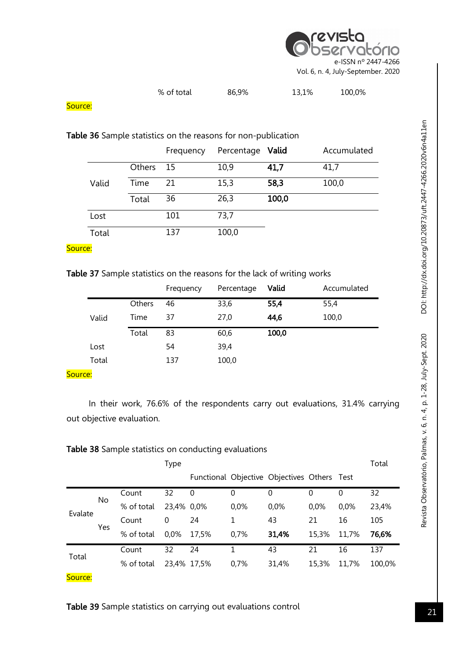

| <b>Table 36</b> Sample statistics on the reasons for non-publication |        |           |            |       |             |  |  |  |  |  |
|----------------------------------------------------------------------|--------|-----------|------------|-------|-------------|--|--|--|--|--|
|                                                                      |        | Frequency | Percentage | Valid | Accumulated |  |  |  |  |  |
|                                                                      | Others | 15        | 10,9       | 41,7  | 41,7        |  |  |  |  |  |
| Valid                                                                | Time   | 21        | 15,3       | 58,3  | 100,0       |  |  |  |  |  |
|                                                                      | Total  | 36        | 26,3       | 100,0 |             |  |  |  |  |  |
| Lost                                                                 |        | 101       | 73,7       |       |             |  |  |  |  |  |
| Total                                                                |        | 137       | 100,0      |       |             |  |  |  |  |  |

## Source:

## Table 37 Sample statistics on the reasons for the lack of writing works

|       |        | Frequency | Percentage | Valid | Accumulated |
|-------|--------|-----------|------------|-------|-------------|
|       | Others | 46        | 33,6       | 55,4  | 55,4        |
| Valid | Time   | 37        | 27,0       | 44,6  | 100,0       |
|       | Total  | 83        | 60,6       | 100,0 |             |
| Lost  |        | 54        | 39,4       |       |             |
| Total |        | 137       | 100,0      |       |             |
|       |        |           |            |       |             |

## Source:

In their work, 76.6% of the respondents carry out evaluations, 31.4% carrying out objective evaluation.

## Table 38 Sample statistics on conducting evaluations

|         |     |            | <b>Type</b> |       |              |                                             |       |          | Total  |
|---------|-----|------------|-------------|-------|--------------|---------------------------------------------|-------|----------|--------|
|         |     |            |             |       |              | Functional Objective Objectives Others Test |       |          |        |
|         | No. | Count      | 32          | 0     | $\mathbf{0}$ | 0                                           | 0     | $\Omega$ | 32     |
| Evalate |     | % of total | 23,4% 0,0%  |       | 0,0%         | 0,0%                                        | 0,0%  | 0.0%     | 23,4%  |
|         |     | Count      | 0           | 24    |              | 43                                          | 21    | 16       | 105    |
|         | Yes | % of total | 0,0%        | 17,5% | 0,7%         | 31,4%                                       | 15,3% | 11,7%    | 76,6%  |
| Total   |     | Count      | 32          | 24    | 1            | 43                                          | 21    | 16       | 137    |
|         |     | % of total | 23,4% 17,5% |       | 0,7%         | 31,4%                                       | 15,3% | 11,7%    | 100,0% |
| Source: |     |            |             |       |              |                                             |       |          |        |

## Table 39 Sample statistics on carrying out evaluations control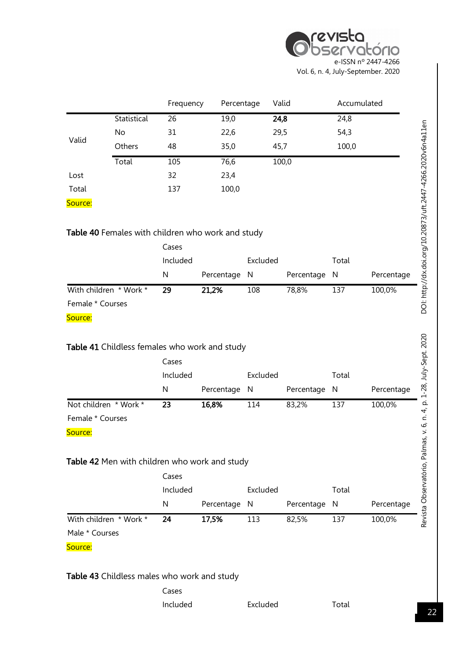

|                                                                                                        |                                                   | Frequency              | Percentage | Valid         |            | Accumulated |            |
|--------------------------------------------------------------------------------------------------------|---------------------------------------------------|------------------------|------------|---------------|------------|-------------|------------|
|                                                                                                        | Statistical                                       | 26                     | 19,0       | 24,8          |            | 24,8        |            |
|                                                                                                        | No                                                | 31                     | 22,6       | 29,5          |            | 54,3        |            |
| Valid                                                                                                  | Others                                            | 48                     | 35,0       | 45,7          |            | 100,0       |            |
|                                                                                                        | Total                                             | 105                    | 76,6       |               | 100,0      |             |            |
| Lost                                                                                                   |                                                   | 32                     | 23,4       |               |            |             |            |
| Total                                                                                                  |                                                   | 137                    | 100,0      |               |            |             |            |
| Source:                                                                                                |                                                   |                        |            |               |            |             |            |
|                                                                                                        | Table 40 Females with children who work and study |                        |            |               |            |             |            |
|                                                                                                        |                                                   | Cases                  |            |               |            |             |            |
|                                                                                                        |                                                   | Included               |            | Excluded      |            | Total       |            |
|                                                                                                        |                                                   | N                      | Percentage | N             | Percentage | N           | Percentage |
|                                                                                                        |                                                   |                        |            | 108           | 78,8%      | 137         | 100,0%     |
|                                                                                                        |                                                   | 29                     | 21,2%      |               |            |             |            |
|                                                                                                        |                                                   |                        |            |               |            |             |            |
|                                                                                                        |                                                   |                        |            |               |            |             |            |
|                                                                                                        | Table 41 Childless females who work and study     | Cases<br>Included<br>N | Percentage | Excluded<br>N | Percentage | Total<br>N  | Percentage |
|                                                                                                        | Not children * Work *                             | 23                     | 16,8%      | 114           | 83,2%      | 137         | 100,0%     |
|                                                                                                        |                                                   |                        |            |               |            |             |            |
|                                                                                                        |                                                   |                        |            |               |            |             |            |
|                                                                                                        | Table 42 Men with children who work and study     |                        |            |               |            |             |            |
|                                                                                                        |                                                   | Cases                  |            |               |            |             |            |
|                                                                                                        |                                                   | Included               |            | Excluded      |            | Total       |            |
|                                                                                                        |                                                   | N                      | Percentage | N             | Percentage | N           | Percentage |
|                                                                                                        | With children * Work *                            | 24                     | 17,5%      | 113           | 82,5%      | 137         | 100,0%     |
| With children * Work *<br>Female * Courses<br>Source:<br>Female * Courses<br>Source:<br>Male * Courses |                                                   |                        |            |               |            |             |            |

Cases Included Excluded Total

22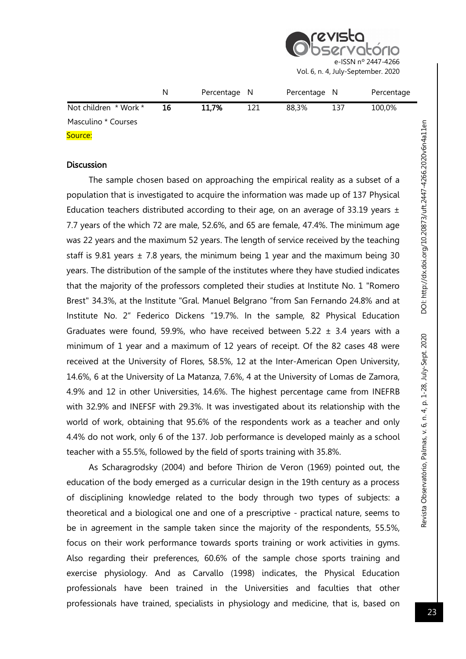

|                       | N  | Percentage N |     | Percentage N |     | Percentage |
|-----------------------|----|--------------|-----|--------------|-----|------------|
| Not children * Work * | 16 | 11,7%        | 121 | 88.3%        | 137 | 100,0%     |
| Masculino * Courses   |    |              |     |              |     |            |
| Source:               |    |              |     |              |     |            |

#### **Discussion**

The sample chosen based on approaching the empirical reality as a subset of a population that is investigated to acquire the information was made up of 137 Physical Education teachers distributed according to their age, on an average of 33.19 years  $\pm$ 7.7 years of the which 72 are male, 52.6%, and 65 are female, 47.4%. The minimum age was 22 years and the maximum 52 years. The length of service received by the teaching staff is 9.81 years  $\pm$  7.8 years, the minimum being 1 year and the maximum being 30 years. The distribution of the sample of the institutes where they have studied indicates that the majority of the professors completed their studies at Institute No. 1 "Romero Brest" 34.3%, at the Institute "Gral. Manuel Belgrano "from San Fernando 24.8% and at Institute No. 2" Federico Dickens "19.7%. In the sample, 82 Physical Education Graduates were found, 59.9%, who have received between 5.22  $\pm$  3.4 years with a minimum of 1 year and a maximum of 12 years of receipt. Of the 82 cases 48 were received at the University of Flores, 58.5%, 12 at the Inter-American Open University, 14.6%, 6 at the University of La Matanza, 7.6%, 4 at the University of Lomas de Zamora, 4.9% and 12 in other Universities, 14.6%. The highest percentage came from INEFRB with 32.9% and INEFSF with 29.3%. It was investigated about its relationship with the world of work, obtaining that 95.6% of the respondents work as a teacher and only 4.4% do not work, only 6 of the 137. Job performance is developed mainly as a school teacher with a 55.5%, followed by the field of sports training with 35.8%.

As Scharagrodsky (2004) and before Thirion de Veron (1969) pointed out, the education of the body emerged as a curricular design in the 19th century as a process of disciplining knowledge related to the body through two types of subjects: a theoretical and a biological one and one of a prescriptive - practical nature, seems to be in agreement in the sample taken since the majority of the respondents, 55.5%, focus on their work performance towards sports training or work activities in gyms. Also regarding their preferences, 60.6% of the sample chose sports training and exercise physiology. And as Carvallo (1998) indicates, the Physical Education professionals have been trained in the Universities and faculties that other professionals have trained, specialists in physiology and medicine, that is, based on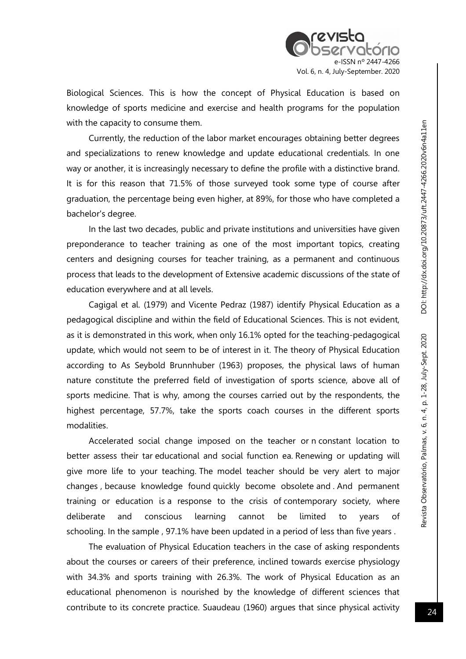

Biological Sciences. This is how the concept of Physical Education is based on knowledge of sports medicine and exercise and health programs for the population with the capacity to consume them.

Currently, the reduction of the labor market encourages obtaining better degrees and specializations to renew knowledge and update educational credentials. In one way or another, it is increasingly necessary to define the profile with a distinctive brand. It is for this reason that 71.5% of those surveyed took some type of course after graduation, the percentage being even higher, at 89%, for those who have completed a bachelor's degree.

In the last two decades, public and private institutions and universities have given preponderance to teacher training as one of the most important topics, creating centers and designing courses for teacher training, as a permanent and continuous process that leads to the development of Extensive academic discussions of the state of education everywhere and at all levels.

Cagigal et al. (1979) and Vicente Pedraz (1987) identify Physical Education as a pedagogical discipline and within the field of Educational Sciences. This is not evident, as it is demonstrated in this work, when only 16.1% opted for the teaching-pedagogical update, which would not seem to be of interest in it. The theory of Physical Education according to As Seybold Brunnhuber (1963) proposes, the physical laws of human nature constitute the preferred field of investigation of sports science, above all of sports medicine. That is why, among the courses carried out by the respondents, the highest percentage, 57.7%, take the sports coach courses in the different sports modalities.

Accelerated social change imposed on the teacher or n constant location to better assess their tar educational and social function ea. Renewing or updating will give more life to your teaching. The model teacher should be very alert to major changes , because knowledge found quickly become obsolete and . And permanent training or education is a response to the crisis of contemporary society, where deliberate and conscious learning cannot be limited to years of schooling. In the sample , 97.1% have been updated in a period of less than five years .

The evaluation of Physical Education teachers in the case of asking respondents about the courses or careers of their preference, inclined towards exercise physiology with 34.3% and sports training with 26.3%. The work of Physical Education as an educational phenomenon is nourished by the knowledge of different sciences that contribute to its concrete practice. Suaudeau (1960) argues that since physical activity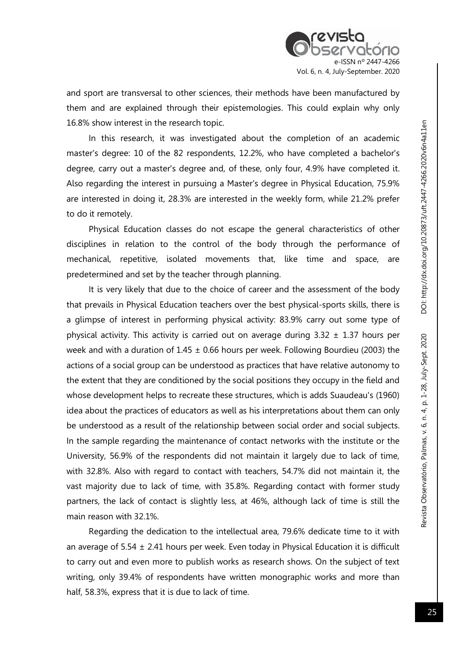and sport are transversal to other sciences, their methods have been manufactured by them and are explained through their epistemologies. This could explain why only 16.8% show interest in the research topic.

In this research, it was investigated about the completion of an academic master's degree: 10 of the 82 respondents, 12.2%, who have completed a bachelor's degree, carry out a master's degree and, of these, only four, 4.9% have completed it. Also regarding the interest in pursuing a Master's degree in Physical Education, 75.9% are interested in doing it, 28.3% are interested in the weekly form, while 21.2% prefer to do it remotely.

Physical Education classes do not escape the general characteristics of other disciplines in relation to the control of the body through the performance of mechanical, repetitive, isolated movements that, like time and space, are predetermined and set by the teacher through planning.

It is very likely that due to the choice of career and the assessment of the body that prevails in Physical Education teachers over the best physical-sports skills, there is a glimpse of interest in performing physical activity: 83.9% carry out some type of physical activity. This activity is carried out on average during  $3.32 \pm 1.37$  hours per week and with a duration of  $1.45 \pm 0.66$  hours per week. Following Bourdieu (2003) the actions of a social group can be understood as practices that have relative autonomy to the extent that they are conditioned by the social positions they occupy in the field and whose development helps to recreate these structures, which is adds Suaudeau's (1960) idea about the practices of educators as well as his interpretations about them can only be understood as a result of the relationship between social order and social subjects. In the sample regarding the maintenance of contact networks with the institute or the University, 56.9% of the respondents did not maintain it largely due to lack of time, with 32.8%. Also with regard to contact with teachers, 54.7% did not maintain it, the vast majority due to lack of time, with 35.8%. Regarding contact with former study partners, the lack of contact is slightly less, at 46%, although lack of time is still the main reason with 32.1%.

Regarding the dedication to the intellectual area, 79.6% dedicate time to it with an average of 5.54  $\pm$  2.41 hours per week. Even today in Physical Education it is difficult to carry out and even more to publish works as research shows. On the subject of text writing, only 39.4% of respondents have written monographic works and more than half, 58.3%, express that it is due to lack of time.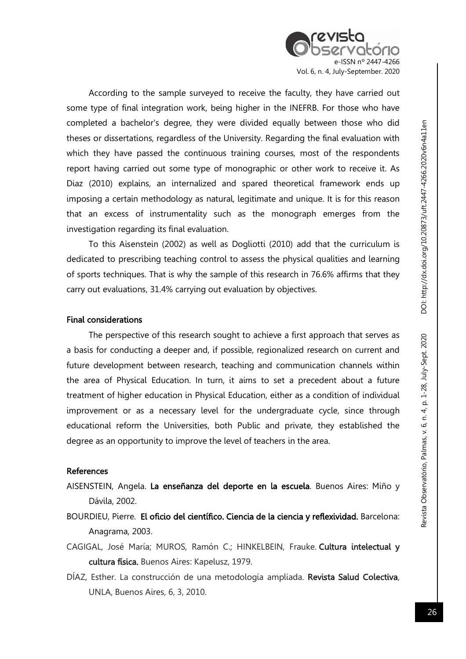N nº 2447-4266 Vol. 6, n. 4, July-September. 2020

According to the sample surveyed to receive the faculty, they have carried out some type of final integration work, being higher in the INEFRB. For those who have completed a bachelor's degree, they were divided equally between those who did theses or dissertations, regardless of the University. Regarding the final evaluation with which they have passed the continuous training courses, most of the respondents report having carried out some type of monographic or other work to receive it. As Diaz (2010) explains, an internalized and spared theoretical framework ends up imposing a certain methodology as natural, legitimate and unique. It is for this reason that an excess of instrumentality such as the monograph emerges from the investigation regarding its final evaluation.

To this Aisenstein (2002) as well as Dogliotti (2010) add that the curriculum is dedicated to prescribing teaching control to assess the physical qualities and learning of sports techniques. That is why the sample of this research in 76.6% affirms that they carry out evaluations, 31.4% carrying out evaluation by objectives.

#### Final considerations

The perspective of this research sought to achieve a first approach that serves as a basis for conducting a deeper and, if possible, regionalized research on current and future development between research, teaching and communication channels within the area of Physical Education. In turn, it aims to set a precedent about a future treatment of higher education in Physical Education, either as a condition of individual improvement or as a necessary level for the undergraduate cycle, since through educational reform the Universities, both Public and private, they established the degree as an opportunity to improve the level of teachers in the area.

#### References

- AISENSTEIN, Angela. La enseñanza del deporte en la escuela. Buenos Aires: Miño y Dávila, 2002.
- BOURDIEU, Pierre. El oficio del científico. Ciencia de la ciencia y reflexividad. Barcelona: Anagrama, 2003.
- CAGIGAL, José María; MUROS, Ramón C.; HINKELBEIN, Frauke. Cultura intelectual y cultura física. Buenos Aires: Kapelusz, 1979.
- DÍAZ, Esther. La construcción de una metodología ampliada. Revista Salud Colectiva, UNLA, Buenos Aires, 6, 3, 2010.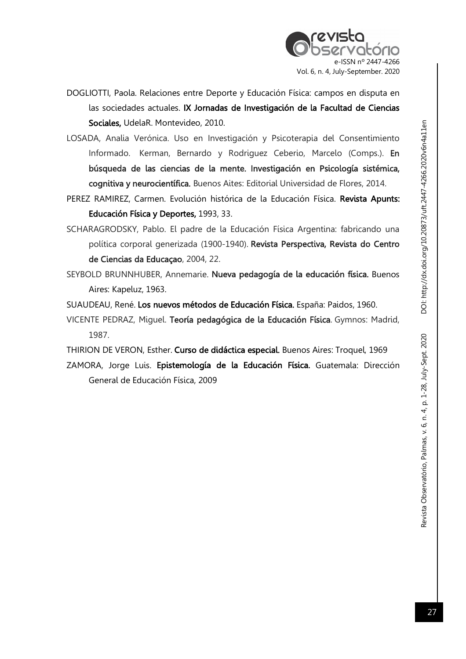

- DOGLIOTTI, Paola. Relaciones entre Deporte y Educación Física: campos en disputa en las sociedades actuales. IX Jornadas de Investigación de la Facultad de Ciencias Sociales, UdelaR. Montevideo, 2010.
- LOSADA, Analia Verónica. Uso en Investigación y Psicoterapia del Consentimiento Informado. Kerman, Bernardo y Rodriguez Ceberio, Marcelo (Comps.). En búsqueda de las ciencias de la mente. Investigación en Psicología sistémica, cognitiva y neurocientífica. Buenos Aites: Editorial Universidad de Flores, 2014.
- PEREZ RAMIREZ, Carmen. Evolución histórica de la Educación Física. Revista Apunts: Educación Física y Deportes, 1993, 33.
- SCHARAGRODSKY, Pablo. El padre de la Educación Física Argentina: fabricando una política corporal generizada (1900-1940). Revista Perspectiva, Revista do Centro de Ciencias da Educaçao, 2004, 22.
- SEYBOLD BRUNNHUBER, Annemarie. Nueva pedagogía de la educación física. Buenos Aires: Kapeluz, 1963.
- SUAUDEAU, René. Los nuevos métodos de Educación Física. España: Paidos, 1960.
- VICENTE PEDRAZ, Miguel. Teoría pedagógica de la Educación Física. Gymnos: Madrid, 1987.
- THIRION DE VERON, Esther. Curso de didáctica especial. Buenos Aires: Troquel, 1969
- ZAMORA, Jorge Luis. Epistemología de la Educación Física. Guatemala: Dirección General de Educación Física, 2009